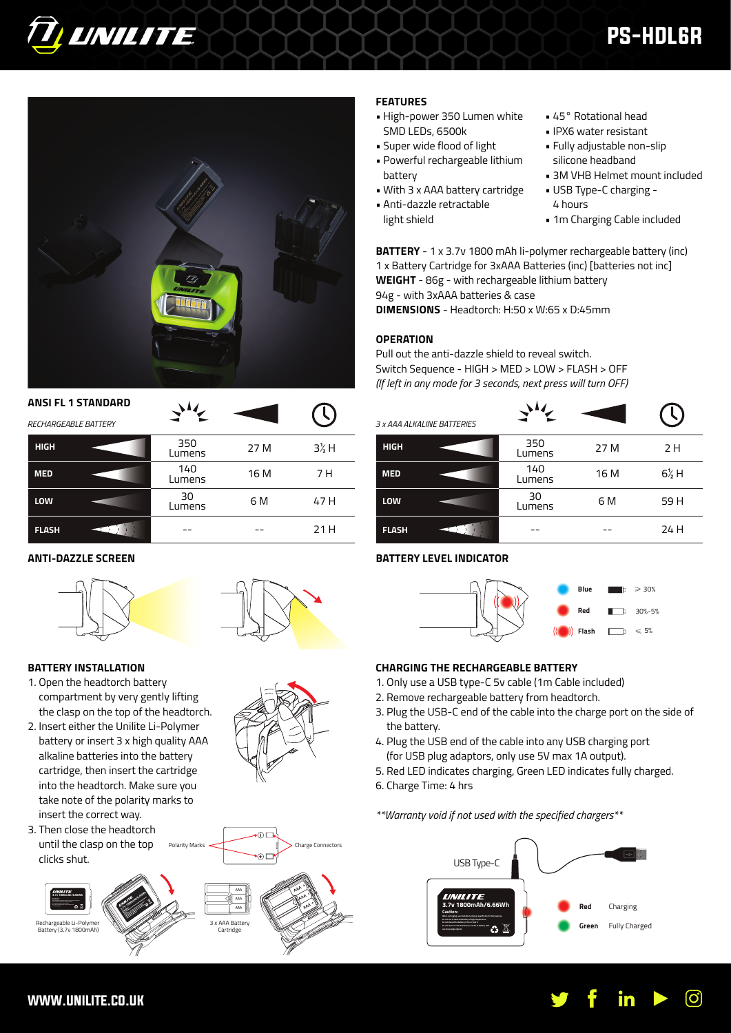# PS-HDL6R

• 45° Rotational head • IPX6 water resistant • Fully adjustable non-slip silicone headband

## **FEATURES**

light shield

- High-power 350 Lumen white SMD LEDs, 6500k
- Super wide flood of light
- Powerful rechargeable lithium battery
- With 3 x AAA battery cartridge
- Anti-dazzle retractable
- 4 hours • 1m Charging Cable included

• USB Type-C charging -

• 3M VHB Helmet mount included

**BATTERY** - 1 x 3.7v 1800 mAh li-polymer rechargeable battery (inc) 1 x Battery Cartridge for 3xAAA Batteries (inc) [batteries not inc] **WEIGHT** - 86g - with rechargeable lithium battery 94g - with 3xAAA batteries & case

**DIMENSIONS** - Headtorch: H:50 x W:65 x D:45mm

## **OPERATION**

Pull out the anti-dazzle shield to reveal switch. Switch Sequence - HIGH > MED > LOW > FLASH > OFF *(If left in any mode for 3 seconds, next press will turn OFF)*

| 3 x AAA ALKALINE BATTERIES |               |      |                  |
|----------------------------|---------------|------|------------------|
| <b>HIGH</b>                | 350<br>Lumens | 27 M | 2 H              |
| <b>MED</b>                 | 140<br>Lumens | 16 M | $6\frac{1}{2}$ H |
| LOW                        | 30<br>Lumens  | 6 M  | 59 H             |
| <b>FLASH</b>               |               |      | 24 H             |

## **BATTERY LEVEL INDICATOR**



- 1. Only use a USB type-C 5v cable (1m Cable included)
- 2. Remove rechargeable battery from headtorch.
- 3. Plug the USB-C end of the cable into the charge port on the side of the battery.
- 4. Plug the USB end of the cable into any USB charging port (for USB plug adaptors, only use 5V max 1A output).
- 5. Red LED indicates charging, Green LED indicates fully charged.
- 6. Charge Time: 4 hrs

*\*\*Warranty void if not used with the specified chargers\*\**



## **BATTERY INSTALLATION**

**ANTI-DAZZLE SCREEN**

**HIGH**

*RECHARGEABLE BATTERY*

**TI, UNILITE** 

**MED**

**LOW**

**FLASH**

- 1. Open the headtorch battery compartment by very gently lifting the clasp on the top of the headtorch.
- 2. Insert either the Unilite Li-Polymer battery or insert 3 x high quality AAA alkaline batteries into the battery cartridge, then insert the cartridge into the headtorch. Make sure you take note of the polarity marks to insert the correct way.
- 3. Then close the headtorch until the clasp on the top clicks shut.





ை  $\odot$ 

27 M

16 M

6 M

--





350 Lumens 140 Lumens 30 Lumens

--





**Flash**  $F \approx 5%$ 

**Red** 30%-5% **Blue** 30%



3½ H

7 H

47 H

21 H

Charge Connectors